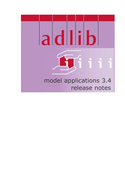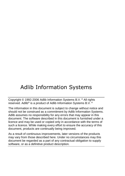# Adlib Information Systems

Copyright © 1992-2006 Adlib Information Systems B.V. ® All rights reserved. Adlib® is a product of Adlib Information Systems B.V. ®

The information in this document is subject to change without notice and should not be construed as a commitment by Adlib Information Systems. Adlib assumes no responsibility for any errors that may appear in this document. The software described in this document is furnished under a licence and may be used or copied only in accordance with the terms of such a licence. While making every effort to ensure the accuracy of this document, products are continually being improved.

As a result of continuous improvements, later versions of the products may vary from those described here. Under no circumstances may this document be regarded as a part of any contractual obligation to supply software, or as a definitive product description.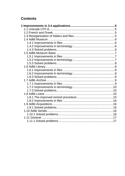# **Contents**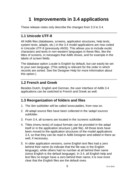# <span id="page-4-0"></span>**1 Improvements in 3.4 applications**

These release notes only describe the changes from 3.3 to 3.4.

# <span id="page-4-1"></span>**1.1 Unicode UTF-8**

All Adlib files (databases, screens, application structures, help texts, system texts, adapls, etc.) in the 3.4 model applications are now coded in Unicode UTF-8 (previously ANSI). This allows you to include exotic characters and texts in non-western languages in these files, like the titles of screens, in messages that Adlib shows, and for example in the labels of screen fields.

The database option *Locale* is English by default, but can easily be set to your own language. (This setting is relevant for the order in which records are sorted. See the Designer Help for more information about this option.)

# <span id="page-4-2"></span>**1.2 French and Greek**

Besides Dutch, English and German, the user interface of Adlib 3.4 applications can be switched to French and Greek as well.

# <span id="page-4-3"></span>**1.3 Reorganization of folders and files**

- 1. The *\bin* subfolder will be called *\executables*, from now on.
- 2. All adapl source files have been collected in the *\adapl sources* subfolder.
- 3. From 3.4, all screens are located in the *\screens* subfolder.
- 4. Titles (menu texts) of output formats can be provided in the adapl itself or in the application structure (.*pbk* file). All those texts have been moved to the application structures of the model applications 3.4, so that they can be read in Adlib Designer and edited in there as well, if necessary.
- 5. In older application versions, some English text files had a zero behind their name (to indicate that the file was in the English language), while others had no number at all behind their name (since English is the default language). In 3.4, all English help and text files no longer have a zero behind their name; it is now more clear that the English files are the default ones.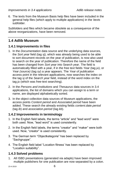6. The texts from the Museum Basis help files have been included in the general help files (which apply to multiple applications) in the *\texts* subfolder.

Subfolders and files which became obsolete as a consequence of the above reorganizations, have been removed.

# <span id="page-5-0"></span>**1.4 Adlib Museum**

## <span id="page-5-1"></span>**1.4.1 Improvements in files**

- 1. In the *Documentation* data source and the underlying data sources, the *Sort year* field (tag *sj*), which was already being used to be able to sort document records on the year of publication, is now also used to search on the year of publication. Therefore the name of the field has been changed from *Sort year* into S*earch year*. The field is automatically filled with a year, if in the free text fields *Year* (tag *ju*), or *Year (source)* (tag *sy*) a year appears. The *Year of publication* access point in the relevant applications, now searches the index on the tag *sj* of the *Search year* field, instead of the word index on the tag *ju* (which was free-text searching).
- 2. In the *Persons and institutions* and *Thesaurus* data sources in 3.4 applications, the list of domains which you can assign to a term or name, are displayed alphabetically sorted.
- 3. In the object collection data sources of Museum applications, the access points *Content period* and *Associated period* have been added. These search the already existing fields *content.date.period* (tag *ib*) and *association.period* (tag *kb*).

## <span id="page-5-2"></span>**1.4.2 Improvements in terminology**

- 1. In the English field labels, the terms "article" and "lead word" were both used. Now, "lead word" is used consistently.
- 2. In the English field labels, the terms "creator" and "maker" were both used. Now, "creator" is used consistently.
- 3. The German term "Objectkategorie" has been replaced by "Sachgruppe".
- 4. The English field label "Location fitness' has been replaced by "Location suitability".

# <span id="page-5-3"></span>**1.4.3 Solved problems**

1. All ISBD presentations (generated via adapls) have been improved: multiple publishers for one publication are now separated by a colon.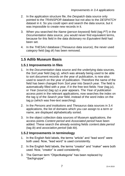- 2. In the application structure file, the *Despatch* data source only pointed to the *TRANSPOR* database but not also to the *DESPATCH* dataset in it. So you could open and search the data source, but it was impossible to create new records in it.
- 3. When you searched the *Name (person keyword)* field (tag *PT*) in the *Documentation* data source, you would never find equivalent terms, because for this field in the data dictionary no *Equivalent field* had been set.
- 4. In the *THESAU* database (*Thesaurus* data source), the never used *category* field (tag *dr*) has been removed.

# <span id="page-6-0"></span>**1.5 Adlib Museum Basis**

#### <span id="page-6-1"></span>**1.5.1 Improvements in files**

- 1. In the *Documentation* data source and the underlying data sources, the *Sort year* field (tag *sj*), which was already being used to be able to sort document records on the year of publication, is now also used to search on the year of publication. Therefore the name of the field has been changed from *Sort year* into S*earch year*. The field is automatically filled with a year, if in the free text fields *Year* (tag *ju*), or *Year (source)* (tag *sy*) a year appears. The *Year of publication* access point in the relevant applications, now searches the index on the tag *sj* of the *Search year* field, instead of the word index on the tag *ju* (which was free-text searching).
- 2. In the *Persons and institutions* and *Thesaurus* data sources in 3.4 applications, the list of domains which you can assign to a term or name, are displayed alphabetically sorted.
- 3. In the object collection data sources of Museum applications, the access points *Content period* and *Associated period* have been added. These search the already existing fields *content.date.period* (tag *ib*) and *association.period* (tab *kb*).

#### <span id="page-6-2"></span>**1.5.2 Improvements in terminology**

- 1. In the English field labels, the terms "article" and "lead word" were both used. Now, "lead word" is used consistently.
- 2. In the English field labels, the terms "creator" and "maker" were both used. Now, "creator" is used consistently.
- 3. The German term "Objectkategorie" has been replaced by "Sachgruppe".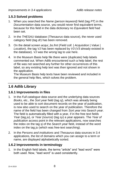## <span id="page-7-0"></span>**1.5.3 Solved problems**

- 1. When you searched the *Name (person keyword)* field (tag *PT*) in the *Documentation* data source, you would never find equivalent terms, because for this field in the data dictionary no *Equivalent field* had been set.
- 2. In the *THESAU* database (*Thesaurus* data source), the never used *category* field (tag *dr*) has been removed.
- 3. On the detail screen *acqui\_bs.fmt* (*Field coll. | Acquisition | Value | Location*), the tag *VJ* has been replaced by *V3* (*V3* already existed in the database). *VJ* was the wrong tag to use here.
- 4. In the Museum Basis help file there were (duplicate) help labels commented out. When Adlib encountered such a help label, the rest of file was not searched any further for other occurrences of this label, so any existing help text was then ignored and not shown in the application.

The Museum Basis help texts have been reviewed and included in the general help files, which solves the problem.

# <span id="page-7-1"></span>**1.6 Adlib Library**

## <span id="page-7-2"></span>**1.6.1 Improvements in files**

- 1. In the *Full catalogue* data source and the underlying data sources *Books*, etc., the *Sort year* field (tag *sj*), which was already being used to be able to sort document records on the year of publication, is now also used to search on the year of publication. Therefore the name of the field has been changed from *Sort year* into S*earch year*. The field is automatically filled with a year, if in the free text fields *Year* (tag *ju*), or *Year (source)* (tag *sy*) a year appears. The *Year of publication* access point in the relevant applications, now searches the index on the tag *sj* of the *Search year* field, instead of the word index on the tag *ju* (which was free-text searching).
- 2. In the *Persons and institutions* and *Thesaurus* data sources in 3.4 applications, the list of domains which you can assign to a term or name, are displayed alphabetically sorted.

## <span id="page-7-3"></span>**1.6.2 Improvements in terminology**

1. In the English field labels, the terms "article" and "lead word" were both used. Now, "lead word" is used consistently.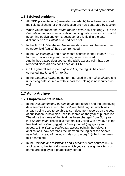## <span id="page-8-0"></span>**1.6.3 Solved problems**

- 1. All ISBD presentations (generated via adapls) have been improved: multiple publishers for one publication are now separated by a colon.
- 2. When you searched the *Name (person keyword)* field (tag *PT*) in the *Full catalogue* data source or its underlying data sources, you would never find equivalent terms, because for this field in the data dictionary no *Equivalent field* had been set.
- 3. In the *THESAU* database (*Thesaurus* data source), the never used *category* field (tag *dr*) has been removed.
- 4. In the *Full catalogue* and *Serials* data sources in the Library OPAC, for the *ISSN* access point the wrong index was used. And in the *Articles* data source, the *ISSN* access point has been removed since articles don't need an ISSN.
- 5. On the general search form *qbfdoc.fmt*, the tag *JU* has been corrected into *jg*, and *ju* into *JU*.
- 6. In the *Extended format* output format (used in the *Full catalogue* and underlying data sources), with serials the holding is now printed as well.

# <span id="page-8-1"></span>**1.7 Adlib Archive**

#### <span id="page-8-2"></span>**1.7.1 Improvements in files**

- 1. In the *Documentation*/*Full catalogue* data source and the underlying data sources *Books*, etc., the *Sort year* field (tag *sj*), which was already being used to be able to sort document records on the year of publication, is now also used to search on the year of publication. Therefore the name of the field has been changed from *Sort year* into S*earch year*. The field is automatically filled with a year, if in the free text fields *Year* (tag *ju*), or *Year (source)* (tag *sy*) a year appears. The *Year of publication* access point in the relevant applications, now searches the index on the tag *sj* of the *Search year* field, instead of the word index on the tag *ju* (which was freetext searching).
- 2. In the *Persons and institutions* and *Thesaurus* data sources in 3.4 applications, the list of domains which you can assign to a term or name, are displayed alphabetically sorted.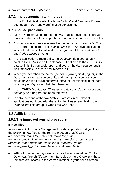## <span id="page-9-0"></span>**1.7.2 Improvements in terminology**

1. In the English field labels, the terms "article" and "lead word" were both used. Now, "lead word" is used consistently.

#### <span id="page-9-1"></span>**1.7.3 Solved problems**

- 1. All ISBD presentations (generated via adapls) have been improved: multiple publishers for one publication are now separated by a colon.
- 2. A wrong dataset name was used in the field adapl *collect.ada*. Due to this error, the screen field *Closed until* in an Archive application was not automatically calculated after you had filled in *Date (late)* and *Period closed in years*.
- 3. In the application structure file, the *Despatch* data source only pointed to the *TRANSPOR* database but not also to the *DESPATCH* dataset in it. So you could open and search the data source, but it was impossible to create new records in it.
- 4. When you searched the *Name (person keyword)* field (tag *PT*) in the *Documentation* data source or its underlying data sources, you would never find equivalent terms, because for this field in the data dictionary no *Equivalent field* had been set.
- 5. In the *THESAU* database (*Thesaurus* data source), the never used *category* field (tag *dr*) has been removed.
- 6. In detail screens of the two Archive datasets in all relevant applications equipped with these, for the *Part* screen field in the *Dimensions* field group, a wrong tag was used.

# <span id="page-9-2"></span>**1.8 Adlib Loans**

# <span id="page-9-3"></span>**1.8.1 The improved remind procedure**

#### ■ New files

In your new Adlib Loans Management model application 3.4 you'll find the following new files for the remind procedure: *adlib#.txt, reminder.dot, reminder\_email.dot, reminder\_nl.dot, reminder\_email\_nl.dot, reminder\_de.dot, reminder\_email\_de.dot, reminder\_fr.dot, reminder\_email\_fr.dot, reminder\_gr.dot, reminder\_email\_gr.dot, reminder.ada,* and *reminder.bin.*

• **adlib#.txt**: extended system texts for all adapls together, English (), Dutch (1), French (2), German (3), Arabic (4) and Greek (6); these text files are located in the \*texts* subfolder in your Adlib Software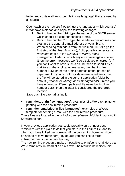folder and contain all texts (per file in one language) that are used by all adapls.

Open each of the new .*txt* files (or just the languages which you use) in Windows Notepad and apply the following changes:

- 1. Behind line number 192, type the name of the SMTP server which should be used for sending e-mail.
- 2. Behind line number 278, type the sender e-mail address, for example the general e-mail address of your library.
- 3. When sending reminders from the file menu in Adlib (in the first step of the *Search wizard*), Adlib possibly generates a *reminder.log* file in the \*wadcirc* or \*library loans management* folder, in which any error message are saved (then the error messages won't be displayed on screen). If you don't want to save such a file, but wish to send it by email to e.g. the application manager, then behind line number 1051 enter the e-mail address of that person or department. If you do not provide an e-mail address, then the file will be stored in the current application folder by default (\*wadcirc* or *\library loans management*), unless you have entered a different path and file name behind line number 1055; then the latter is considered the preferred location.

Save each file after adjusting it.

- **reminder.dot (in five languages)**: examples of a Word template for printing with the new remind procedure.
- reminder email.dot (in five languages): examples of a Word template for sending e-mail with the new remind procedure.

These files are located in the *\Worddoc\templates*-subfolder in your Adlib Software folder.

In your previous application you could probably only print or send reminders with the plain texts that you store in the *Letters* file, and to which you have linked per borrower (if the concerning borrower should be able to receive reminders). By default you can link to three subsequent reminder letters this way.

The new remind procedure makes it possible to print/send reminders via Word templates, in stead of as plain text. The result is now nicely laid out.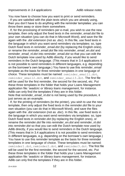You now have to choose how you want to print or send reminders.

- If you are satisfied with the plain texts which you are already using, then you don't have to do anything with the reminder templates: you can throw them away or store them somewhere.

- If, for the processing of reminders per e-mail, you wish to use the new template, then only adjust the fixed texts in the *reminder\_email.dot* file to your own situation (you can do that in Microsoft Word), and save the file again with the .*dot* extension (not as .*doc*). In this file, use fixed texts in the language in which you want send reminders via templates: so, type Dutch fixed texts in *reminder\_email.dot* (by replacing the English ones), or rename the *reminder\_email.dot* file into *reminder\_email\_en.dot* and *reminder\_email\_nl.dot* into *reminder\_email.dot* so that you can edit the Dutch template now used by Adlib directly, if you would like to send reminders in the Dutch language. (This means that in 3.4 applications it is not possible to send reminders in different languages, e.g. depending on the borrower's own language.) You have to use this *reminder\_email* template as the basis for three reminder templates in one language of choice. These templates must be named: reminder email1.dot, reminder email2.dot, and reminder email3.dot. The first file will be used for the first reminder, the second for the second, etc. Put these three templates in the folder that holds your Loans Management application file: \*wadcirc* or \*library loans management*, for instance. Adlib can only find the templates if they are in this folder. Note that *reminder* email nl.dot is not being used by the procedure, it

just serves as an example.

- If, for the printing of reminders (to the printer), you wish to use the new template, then only adjust the fixed texts in the *reminder.dot* file to your own situation (you can do that in Microsoft Word), and save the files again with the .*dot* extension (not as .*doc*). In this file, use fixed texts in the language in which you want send reminders via templates: so, type Dutch fixed texts in *reminder.dot* (by replacing the English ones), or rename the *reminder.dot* file into *reminder\_en.dot* and *reminder\_nl.dot* into *reminder.dot* so that you can edit the Dutch template now used by Adlib directly, if you would like to send reminders in the Dutch language. (This means that in 3.4 applications it is not possible to send reminders in different languages, e.g. depending on the borrower's own language.) You have to use this *reminder* template as the basis for three reminder templates in one language of choice. These templates must be named: reminder1.dot, reminder2.dot, and reminder3.dot. The first file will be used for the first reminder, the second for the second, etc. Put these three templates in the folder that holds your Loans Management application file: \*wadcirc* or \*library loans management*, for instance. Adlib can only find the templates if they are in this folder.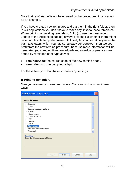Note that *reminder\_nl* is not being used by the procedure, it just serves as an example.

If you have created new templates and put them in the right folder, then in 3.4 applications you don't have to make any links to these templates. When printing or sending reminders, Adlib (do use the most recent update of the Adlib executables) always first checks whether there might be an applicable template present. If it isn't, Adlib automatically uses the plain text letters which you had set already per borrower; then too you profit from the new remind procedure, because more information will be generated (outstanding fines are added) and overdue copies are now sorted by reminder letter type as well.

- **reminder.ada**: the source code of the new remind adapl.
- **reminder.bin**: the compiled adapl:

For these files you don't have to make any settings.

#### ■ Printing reminders

Now you are ready to send reminders. You can do this in two/three ways.

| Search wizard - Step 1 of 4                                                                                                                                                                                                                      |  |
|--------------------------------------------------------------------------------------------------------------------------------------------------------------------------------------------------------------------------------------------------|--|
| Select database:                                                                                                                                                                                                                                 |  |
| -- Borrowers<br>- Copies<br>Borrower categories and limits<br><b>Statistics</b><br>- Title reservations<br>- Copy reservations<br>l— Fines<br>– Loan fees<br>i— Letters<br>Print reminders<br>-- Print reservation notifications<br>- Take stock |  |
| Description<br>Select the database you want to use<br>Cancel<br>Next><br>Help<br>< Back                                                                                                                                                          |  |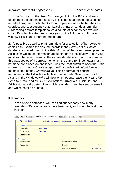1. In the first step of the *Search wizard* you'll find the *Print reminders* option (see the screenshot above). This is not a database, but a link to an adapl program which checks for all copies on loan whether they are overdue, and subsequently automatically prints or sends a reminder. (Processing a Word template takes a couple of seconds per overdue copy.) Double-click *Print reminders* (and in the following confirmation window click *Yes*) to start the procedure.

2. It's possible as well to print reminders for a selection of borrowers or copies only. Search the desired records in the *Borrowers* or *Copies* database and mark them in the *Brief display* of the search result (see the Adlib User Guide for information about standard functionality). Then you must sort the search result in the *Copies* database on borrower number: this way, copies of a borrower for which the same reminder letter must be made are placed on one letter. Click the *Print* button to open the *Print wizard*. In it, choose *Create a report with a predefined output format*. In the next step of the *Print wizard* you'll find a format for printing reminders, in the list with available output formats. Select it and click *Finish*. In the Windows *Print* window which opens, leave the *Print to file*, *Send by e-mail* and *MS-DOS text* options **unmarked**. Click *OK*, and Adlib automatically determines which reminders must be sent by e-mail and which must be printed.

#### ◼ **Remarks**

• In the *Copies* database, you can find out per copy how many reminders (*Recalls*) already have been sent, and when the last one was sent.

|  | Acquisition<br>Copy details | Location and counters                                                  | Serial details<br>Management details |            |
|--|-----------------------------|------------------------------------------------------------------------|--------------------------------------|------------|
|  | DGM 34B598/2                | Antarctic environmental protocol and its domestic legal implementation |                                      |            |
|  |                             |                                                                        |                                      |            |
|  | Locations                   |                                                                        |                                      |            |
|  | Home site                   | Den Haag                                                               |                                      |            |
|  | Current site                | Den Haag                                                               |                                      |            |
|  | Location notes              |                                                                        |                                      |            |
|  | <b>Counters</b>             |                                                                        |                                      |            |
|  | <b>Reservations</b>         |                                                                        | Accumulated loans                    |            |
|  | <b>Renewals</b>             |                                                                        | Recalls                              | 2          |
|  |                             |                                                                        | Last recall sent on                  | 30/01/2006 |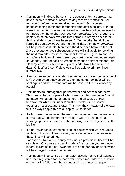- Reminders will always be sent in the correct order: a borrower can never receive *reminder2* before having received *reminder1*, nor *reminder3* before having received *reminder2*. So if you start printing/sending reminders for the first time after a holiday of three weeks, and a borrower with an overdue book has not yet received a reminder, then he or she now receives *reminder1* (even though the book is so much days overdue that normally already a second or third reminder would have been sent). On the other hand, if the library did sent *reminder1* prior to the holiday, then now *reminder2* will be printed/sent, etc. Moreover, the difference between the set *Days overdue* for two subsequent letters will still apply for sending the next reminder. So, if the reminder terms are e.g. 7, 14 and 19, and after a holiday of three weeks you start printing reminders again on Monday, and repeat it on Wednesday, then a first reminder from Monday won't be followed up by a reminder two after these two days. Only after 7 (14-7) days you will be able to print reminder number two.
- If some time earlier a reminder was made for an overdue copy, but it isn't known when that was done, then the same reminder will be sent again and the current date will be saved in the relevant copy record.
- Reminders are put together per borrower and per reminder term. This means that all copies of a borrower for which reminder 1 must be made, will be printed on one letter. And all copies of that borrower for which reminder 2 must be made, will be printed together on a subsequent letter. This way, the character of the letter text is always applicable to all copies in that letter.
- If a borrower has received the maximum number of reminders for a copy already, then no further reminders will be created, yet a warning appears on screen or that message will be registered in the log file.
- If a borrower has outstanding fines for copies which were returned too late in the past, then on every reminder letter also an overview of those fines will be printed. For copies which are currently overdue, no provisional fines will be calculated. Of course you can include a fixed text in your reminder letters, to remind the borrower about the fine per day or week which will be charged for overdue copies.
- Reminders will be sent by e-mail automatically if an e-mail address has been registered for the borrower. If no e-mail address is known, or if e-mailing fails, then the reminder will be printed on paper.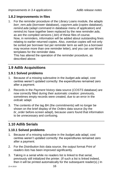## <span id="page-15-0"></span>**1.8.2 Improvements in files**

1. For the reminder procedure of the Library Loans module, the adapls *borr\_rem.ada* (*borrower* database), *copyrem.ada* (*copies* database), *remind.ada* (adapl command in database menu of application) and *remind.inc* have together been replaced by the new *reminder.ada*, as are the compiled versions (.*bin*) of these files of course. Now, in reminders, information will be added about outstanding fines relating to earlier returned copies. Also, overdue copies will not only be sorted per borrower but per reminder term as well (so a borrower may receive more than one reminder letter), and you can use Word templates for the reminder data.

This has altered the operation of the reminder procedure, as described above.

# <span id="page-15-1"></span>**1.9 Adlib Acquisitions**

## <span id="page-15-2"></span>**1.9.1 Solved problems**

- 1. Because of a missing subroutine in the *budget.ada* adapl, cost centres weren't updated correctly: the expenditures remained zero after a payment.
- 2. Records in the *Payment history* data source (*COSTS* database) are now correctly filled during their automatic creation: previously, sometimes empty records were created, due to an error in the *ordcalc* adapl.
- 3. The contents of the tag *BA* (the commitments) will no longer be shown on the brief display of the *Orders* data source (by the *br\_order* before-screen adapl), because users found that information to be unnecessary and confusing.

# <span id="page-15-3"></span>**1.10 Adlib Serials**

## <span id="page-15-4"></span>**1.10.1 Solved problems**

- 1. Because of a missing subroutine in the *budget.ada* adapl, cost centres weren't updated correctly: the expenditures remained zero after a payment.
- 2. For the *Distribution lists* data source, the output format *Print of readers lists* has been improved significantly.
- 3. Taking in a serial while no readers list is linked to that serial, previously still initialized the printer. (If such a list is linked indeed, then it will be printed automatically for the subsequent reader(s).) In